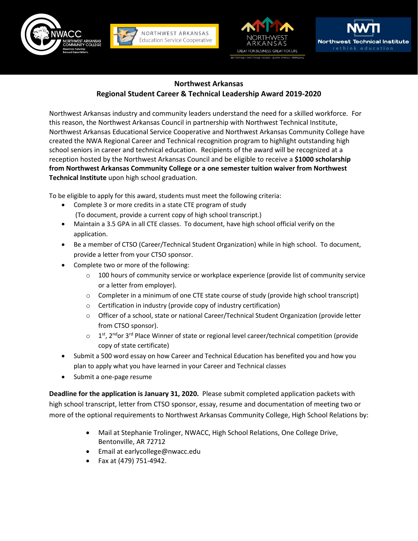







## **Northwest Arkansas Regional Student Career & Technical Leadership Award 2019-2020**

Northwest Arkansas industry and community leaders understand the need for a skilled workforce. For this reason, the Northwest Arkansas Council in partnership with Northwest Technical Institute, Northwest Arkansas Educational Service Cooperative and Northwest Arkansas Community College have created the NWA Regional Career and Technical recognition program to highlight outstanding high school seniors in career and technical education. Recipients of the award will be recognized at a reception hosted by the Northwest Arkansas Council and be eligible to receive a **\$1000 scholarship from Northwest Arkansas Community College or a one semester tuition waiver from Northwest Technical Institute** upon high school graduation.

To be eligible to apply for this award, students must meet the following criteria:

NORTHWEST ARKANSAS

**Education Service Cooperative** 

- Complete 3 or more credits in a state CTE program of study (To document, provide a current copy of high school transcript.)
- Maintain a 3.5 GPA in all CTE classes. To document, have high school official verify on the application.
- Be a member of CTSO (Career/Technical Student Organization) while in high school. To document, provide a letter from your CTSO sponsor.
- Complete two or more of the following:
	- $\circ$  100 hours of community service or workplace experience (provide list of community service or a letter from employer).
	- $\circ$  Completer in a minimum of one CTE state course of study (provide high school transcript)
	- o Certification in industry (provide copy of industry certification)
	- o Officer of a school, state or national Career/Technical Student Organization (provide letter from CTSO sponsor).
	- $\circ$  1<sup>st</sup>, 2<sup>nd</sup>or 3<sup>rd</sup> Place Winner of state or regional level career/technical competition (provide copy of state certificate)
- Submit a 500 word essay on how Career and Technical Education has benefited you and how you plan to apply what you have learned in your Career and Technical classes
- Submit a one-page resume

**Deadline for the application is January 31, 2020.** Please submit completed application packets with high school transcript, letter from CTSO sponsor, essay, resume and documentation of meeting two or more of the optional requirements to Northwest Arkansas Community College, High School Relations by:

- Mail at Stephanie Trolinger, NWACC, High School Relations, One College Drive, Bentonville, AR 72712
- Email at earlycollege@nwacc.edu
- Fax at (479) 751-4942.